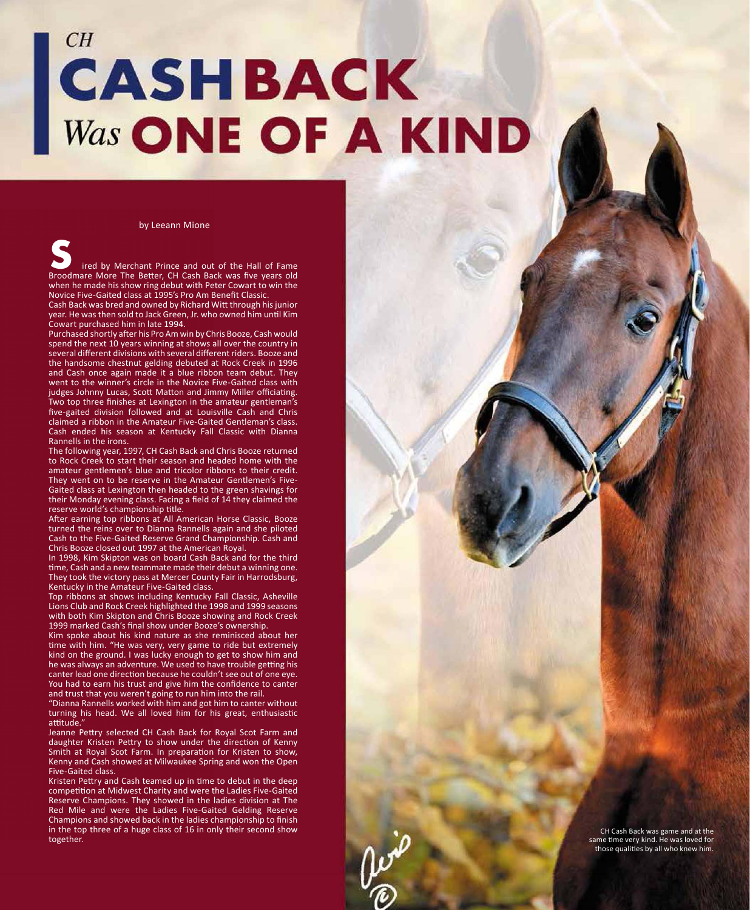## $CH$ **CASHBACK<br>Was ONE OF A KIND**

by Leeann Mione

 ired by Merchant Prince and out of the Hall of Fame Broodmare More The Better, CH Cash Back was five years old when he made his show ring debut with Peter Cowart to win the Novice Five-Gaited class at 1995's Pro Am Benefit Classic.

Cash Back was bred and owned by Richard Witt through his junior year. He was then sold to Jack Green, Jr. who owned him until Kim Cowart purchased him in late 1994.

Purchased shortly after his Pro Am win by Chris Booze, Cash would spend the next 10 years winning at shows all over the country in several different divisions with several different riders. Booze and the handsome chestnut gelding debuted at Rock Creek in 1996 and Cash once again made it a blue ribbon team debut. They went to the winner's circle in the Novice Five-Gaited class with judges Johnny Lucas, Scott Matton and Jimmy Miller officiating. Two top three finishes at Lexington in the amateur gentleman's five-gaited division followed and at Louisville Cash and Chris claimed a ribbon in the Amateur Five-Gaited Gentleman's class. Cash ended his season at Kentucky Fall Classic with Dianna Rannells in the irons. **Example 18**<br>Broodma when he<br>Novice Fi Cash Bacl<br>Pear. He vant p<br>Purchase spend the hand cash went to 1<br>judges Jow top -gaite claimed is judges Jow top -gaite claimed is position.<br>The follower of the small of the model of

The following year, 1997, CH Cash Back and Chris Booze returned to Rock Creek to start their season and headed home with the amateur gentlemen's blue and tricolor ribbons to their credit. They went on to be reserve in the Amateur Gentlemen's Five-Gaited class at Lexington then headed to the green shavings for their Monday evening class. Facing a field of 14 they claimed the reserve world's championship title.

After earning top ribbons at All American Horse Classic, Booze turned the reins over to Dianna Rannells again and she piloted Cash to the Five-Gaited Reserve Grand Championship. Cash and Chris Booze closed out 1997 at the American Royal.

In 1998, Kim Skipton was on board Cash Back and for the third time, Cash and a new teammate made their debut a winning one. They took the victory pass at Mercer County Fair in Harrodsburg, Kentucky in the Amateur Five-Gaited class.

Top ribbons at shows including Kentucky Fall Classic, Asheville Lions Club and Rock Creek highlighted the 1998 and 1999 seasons with both Kim Skipton and Chris Booze showing and Rock Creek 1999 marked Cash's final show under Booze's ownership.

Kim spoke about his kind nature as she reminisced about her time with him. "He was very, very game to ride but extremely kind on the ground. I was lucky enough to get to show him and he was always an adventure. We used to have trouble getting his canter lead one direction because he couldn't see out of one eye. You had to earn his trust and give him the confidence to canter and trust that you weren't going to run him into the rail.

"Dianna Rannells worked with him and got him to canter without turning his head. We all loved him for his great, enthusiastic attitude

Jeanne Pettry selected CH Cash Back for Royal Scot Farm and daughter Kristen Pettry to show under the direction of Kenny Smith at Royal Scot Farm. In preparation for Kristen to show, Kenny and Cash showed at Milwaukee Spring and won the Open Five-Gaited class.

Kristen Pettry and Cash teamed up in time to debut in the deep competition at Midwest Charity and were the Ladies Five-Gaited Reserve Champions. They showed in the ladies division at The Red Mile and were the Ladies Five-Gaited Gelding Reserve Champions and showed back in the ladies championship to finish in the top three of a huge class of 16 in only their second show together.